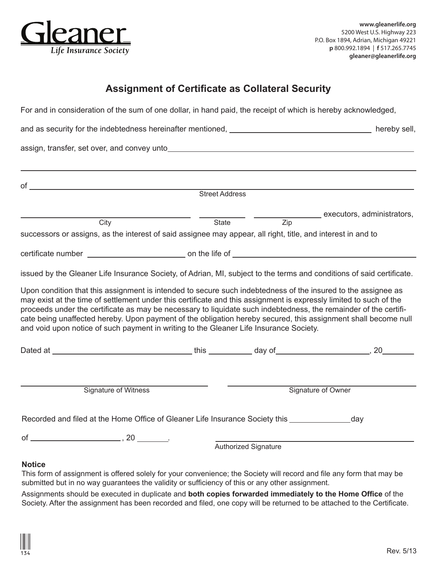

## **Assignment of Certificate as Collateral Security**

For and in consideration of the sum of one dollar, in hand paid, the receipt of which is hereby acknowledged,

|                                                                                                                                                                                                                                                                                                                                                                                                                                                                                                                                                                     | <b>Street Address</b> |                                        |                            |  |
|---------------------------------------------------------------------------------------------------------------------------------------------------------------------------------------------------------------------------------------------------------------------------------------------------------------------------------------------------------------------------------------------------------------------------------------------------------------------------------------------------------------------------------------------------------------------|-----------------------|----------------------------------------|----------------------------|--|
|                                                                                                                                                                                                                                                                                                                                                                                                                                                                                                                                                                     |                       |                                        | executors, administrators, |  |
| City                                                                                                                                                                                                                                                                                                                                                                                                                                                                                                                                                                |                       | $\overline{Zip}$<br><b>State State</b> |                            |  |
| successors or assigns, as the interest of said assignee may appear, all right, title, and interest in and to                                                                                                                                                                                                                                                                                                                                                                                                                                                        |                       |                                        |                            |  |
|                                                                                                                                                                                                                                                                                                                                                                                                                                                                                                                                                                     |                       |                                        |                            |  |
| issued by the Gleaner Life Insurance Society, of Adrian, MI, subject to the terms and conditions of said certificate.                                                                                                                                                                                                                                                                                                                                                                                                                                               |                       |                                        |                            |  |
| Upon condition that this assignment is intended to secure such indebtedness of the insured to the assignee as<br>may exist at the time of settlement under this certificate and this assignment is expressly limited to such of the<br>proceeds under the certificate as may be necessary to liquidate such indebtedness, the remainder of the certifi-<br>cate being unaffected hereby. Upon payment of the obligation hereby secured, this assignment shall become null<br>and void upon notice of such payment in writing to the Gleaner Life Insurance Society. |                       |                                        |                            |  |
|                                                                                                                                                                                                                                                                                                                                                                                                                                                                                                                                                                     |                       |                                        |                            |  |
| Signature of Witness                                                                                                                                                                                                                                                                                                                                                                                                                                                                                                                                                |                       |                                        | Signature of Owner         |  |
| Recorded and filed at the Home Office of Gleaner Life Insurance Society this _______________                                                                                                                                                                                                                                                                                                                                                                                                                                                                        |                       |                                        | day                        |  |
|                                                                                                                                                                                                                                                                                                                                                                                                                                                                                                                                                                     |                       |                                        |                            |  |
|                                                                                                                                                                                                                                                                                                                                                                                                                                                                                                                                                                     |                       | <b>Authorized Signature</b>            |                            |  |
| <b>Notice</b>                                                                                                                                                                                                                                                                                                                                                                                                                                                                                                                                                       |                       |                                        |                            |  |

## This form of assignment is offered solely for your convenience; the Society will record and file any form that may be submitted but in no way guarantees the validity or sufficiency of this or any other assignment.

Assignments should be executed in duplicate and **both copies forwarded immediately to the Home Office** of the Society. After the assignment has been recorded and filed, one copy will be returned to be attached to the Certificate.